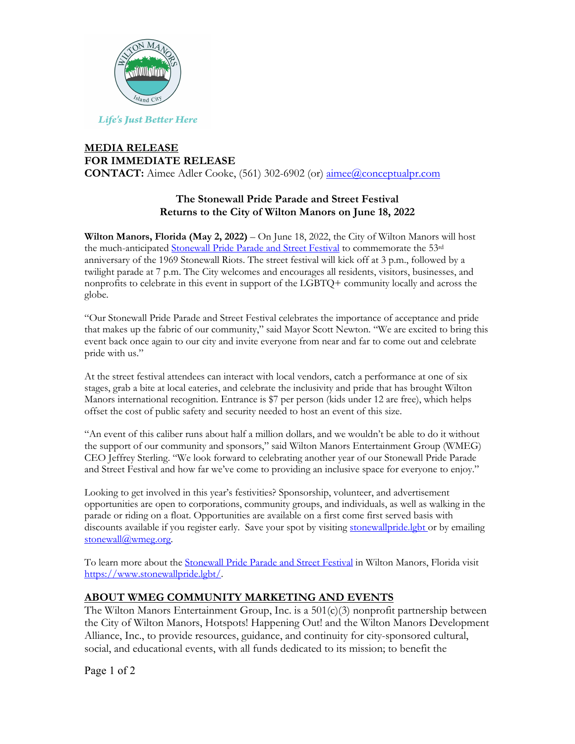

**Life's Just Better Here** 

## **MEDIA RELEASE FOR IMMEDIATE RELEASE**

**CONTACT:** Aimee Adler Cooke, (561) 302-6902 (or) aimee@conceptualpr.com

## **The Stonewall Pride Parade and Street Festival Returns to the City of Wilton Manors on June 18, 2022**

**Wilton Manors, Florida (May 2, 2022)** – On June 18, 2022, the City of Wilton Manors will host the much-anticipated Stonewall Pride Parade and Street Festival to commemorate the 53<sup>rd</sup> anniversary of the 1969 Stonewall Riots. The street festival will kick off at 3 p.m., followed by a twilight parade at 7 p.m. The City welcomes and encourages all residents, visitors, businesses, and nonprofits to celebrate in this event in support of the LGBTQ+ community locally and across the globe.

"Our Stonewall Pride Parade and Street Festival celebrates the importance of acceptance and pride that makes up the fabric of our community," said Mayor Scott Newton. "We are excited to bring this event back once again to our city and invite everyone from near and far to come out and celebrate pride with us."

At the street festival attendees can interact with local vendors, catch a performance at one of six stages, grab a bite at local eateries, and celebrate the inclusivity and pride that has brought Wilton Manors international recognition. Entrance is \$7 per person (kids under 12 are free), which helps offset the cost of public safety and security needed to host an event of this size.

"An event of this caliber runs about half a million dollars, and we wouldn't be able to do it without the support of our community and sponsors," said Wilton Manors Entertainment Group (WMEG) CEO Jeffrey Sterling. "We look forward to celebrating another year of our Stonewall Pride Parade and Street Festival and how far we've come to providing an inclusive space for everyone to enjoy."

Looking to get involved in this year's festivities? Sponsorship, volunteer, and advertisement opportunities are open to corporations, community groups, and individuals, as well as walking in the parade or riding on a float. Opportunities are available on a first come first served basis with discounts available if you register early. Save your spot by visiting stonewall pride.lgbt or by emailing stonewall@wmeg.org.

To learn more about the Stonewall Pride Parade and Street Festival in Wilton Manors, Florida visit https://www.stonewallpride.lgbt/.

## **ABOUT WMEG COMMUNITY MARKETING AND EVENTS**

The Wilton Manors Entertainment Group, Inc. is a 501(c)(3) nonprofit partnership between the City of Wilton Manors, Hotspots! Happening Out! and the Wilton Manors Development Alliance, Inc., to provide resources, guidance, and continuity for city-sponsored cultural, social, and educational events, with all funds dedicated to its mission; to benefit the

Page 1 of 2